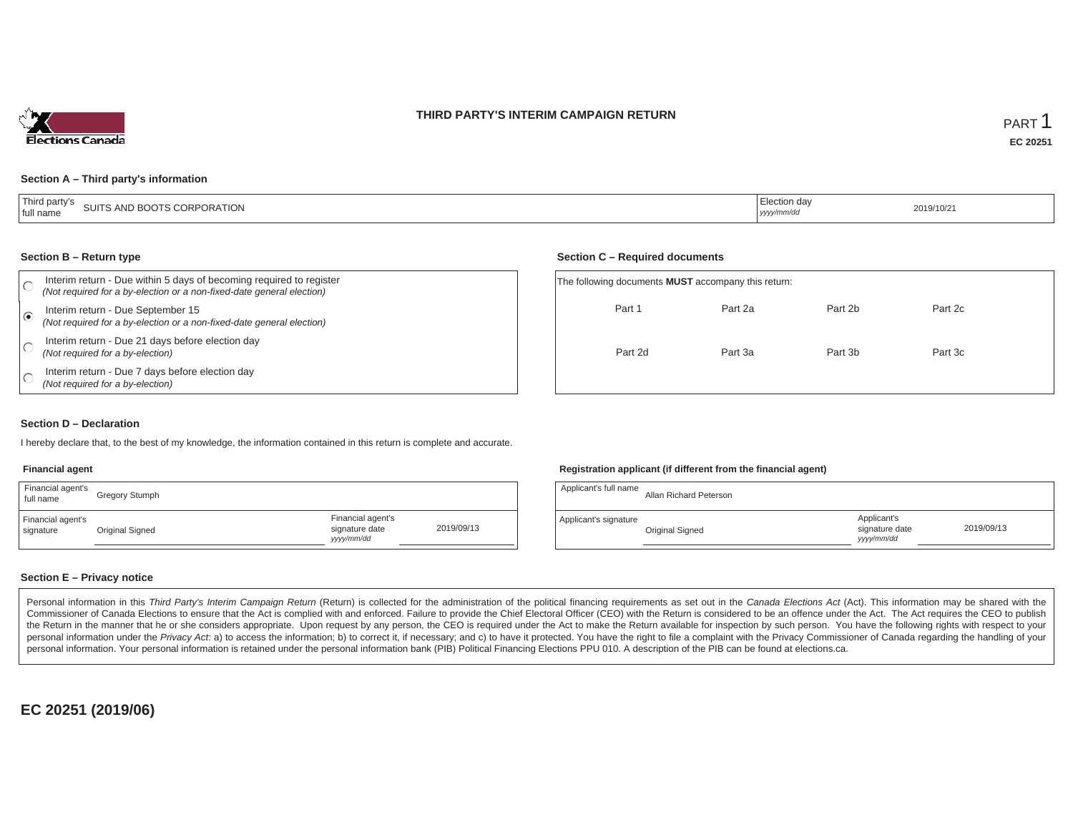### **THIRD PARTY'S INTERIM CAMPAIGN RETURN**



#### **Section A – Third party's information**

| Third party's<br>SUITS AND BOOTS CORPORATION<br>tull name | iection dav<br>yyyy/mm/dr | 2019/10/2 |
|-----------------------------------------------------------|---------------------------|-----------|
|-----------------------------------------------------------|---------------------------|-----------|

#### **Section B – Return type**

| Interim return - Due within 5 days of becoming required to register<br>(Not required for a by-election or a non-fixed-date general election) | The following documents <b>MUST</b> accompany this return: |         |         |         |  |
|----------------------------------------------------------------------------------------------------------------------------------------------|------------------------------------------------------------|---------|---------|---------|--|
| Interim return - Due September 15<br>(Not required for a by-election or a non-fixed-date general election)                                   | Part 1                                                     | Part 2a | Part 2b | Part 2c |  |
| Interim return - Due 21 days before election day<br>(Not required for a by-election)                                                         | Part 2d                                                    | Part 3a | Part 3b | Part 3c |  |
| Interim return - Due 7 days before election day<br>(Not required for a by-election)                                                          |                                                            |         |         |         |  |

#### **Section D – Declaration**

I hereby declare that, to the best of my knowledge, the information contained in this return is complete and accurate.

### **Financial agent**

| Financial agent's<br>full name | Gregory Stumph  |                                                  |            | Applicant's full name | <b>Allan Richard Petersor</b> |
|--------------------------------|-----------------|--------------------------------------------------|------------|-----------------------|-------------------------------|
| Financial agent's<br>signature | Original Signed | Financial agent's<br>signature date<br>yyy/mm/dd | 2019/09/13 | Applicant's signature | Original Signed               |

#### **Registration applicant (if different from the financial agent)**

**Section C – Required documents**

| Gregory Stumph  |                                                   |            | Applicant's full name | Allan Richard Peterson |                                             |            |
|-----------------|---------------------------------------------------|------------|-----------------------|------------------------|---------------------------------------------|------------|
| Original Signed | Financial agent's<br>signature date<br>yyyy/mm/dd | 2019/09/13 | Applicant's signature | Original Signed        | Applicant's<br>signature date<br>yyyy/mm/dd | 2019/09/13 |

### **Section E – Privacy notice**

Personal information in this Third Party's Interim Campaign Return (Return) is collected for the administration of the political financing requirements as set out in the Canada Elections Act (Act). This information may be Commissioner of Canada Elections to ensure that the Act is complied with and enforced. Failure to provide the Chief Electoral Officer (CEO) with the Return is considered to be an offence under the Act. The Act requires the the Return in the manner that he or she considers appropriate. Upon request by any person, the CEO is required under the Act to make the Return available for inspection by such person. You have the following rights with re personal information under the Privacy Act. a) to access the information; b) to correct it, if necessary; and c) to have it protected. You have the right to file a complaint with the Privacy Commissioner of Canada regardin personal information. Your personal information is retained under the personal information bank (PIB) Political Financing Elections PPU 010. A description of the PIB can be found at elections.ca.

**EC 20251 (2019/06)**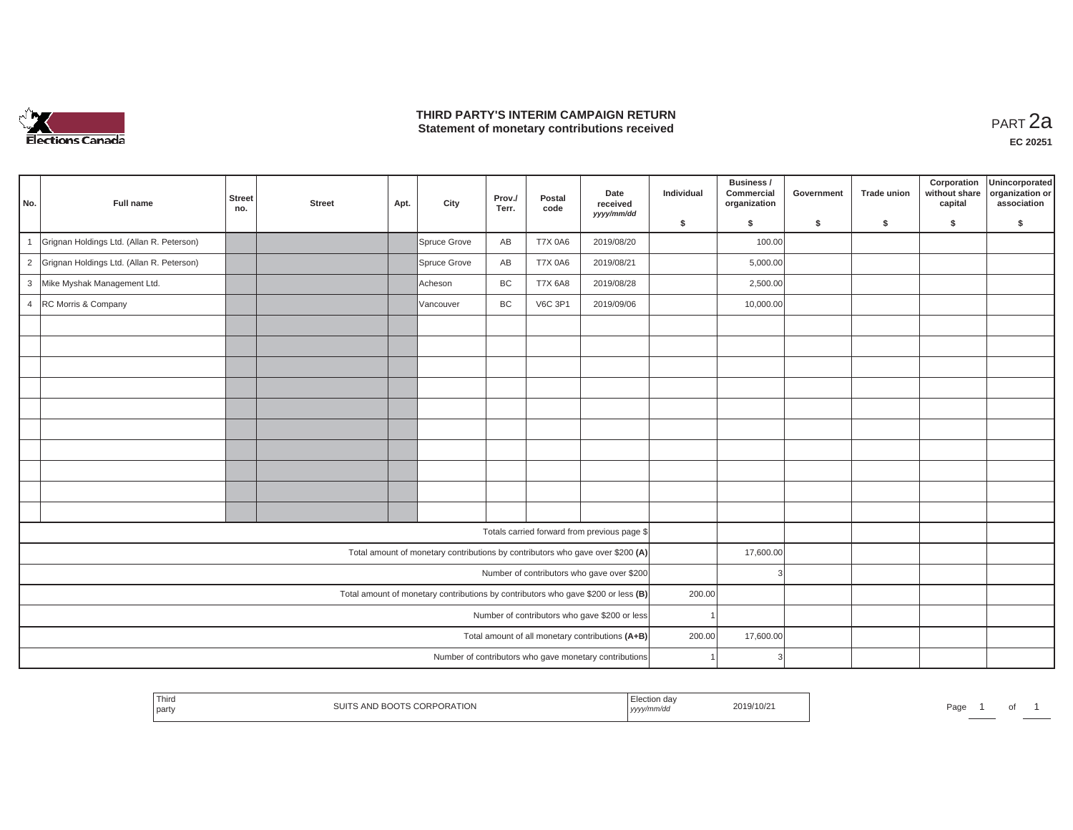

## **THIRD PARTY'S INTERIM CAMPAIGN RETURN THIRD PARTY'S INTERIM CAMPAIGN RETURN<br>Statement of monetary contributions received**

| No.            | Full name                                 | <b>Street</b><br>no. | <b>Street</b> | Apt. | City         | Prov./<br>Terr. | Postal<br>code | Date<br>received<br>yyyy/mm/dd                                                    | Individual | Business /<br>Commercial<br>organization | Government | <b>Trade union</b> | Corporation<br>without share<br>capital | Unincorporated<br>organization or<br>association |
|----------------|-------------------------------------------|----------------------|---------------|------|--------------|-----------------|----------------|-----------------------------------------------------------------------------------|------------|------------------------------------------|------------|--------------------|-----------------------------------------|--------------------------------------------------|
|                |                                           |                      |               |      |              |                 |                |                                                                                   | \$         | s.                                       | \$         | S.                 | \$                                      | S.                                               |
| $\overline{1}$ | Grignan Holdings Ltd. (Allan R. Peterson) |                      |               |      | Spruce Grove | AB              | <b>T7X 0A6</b> | 2019/08/20                                                                        |            | 100.00                                   |            |                    |                                         |                                                  |
| $\overline{2}$ | Grignan Holdings Ltd. (Allan R. Peterson) |                      |               |      | Spruce Grove | AB              | <b>T7X 0A6</b> | 2019/08/21                                                                        |            | 5,000.00                                 |            |                    |                                         |                                                  |
| $\mathbf{3}$   | Mike Myshak Management Ltd.               |                      |               |      | Acheson      | BC              | <b>T7X 6A8</b> | 2019/08/28                                                                        |            | 2,500.00                                 |            |                    |                                         |                                                  |
| $\overline{4}$ | RC Morris & Company                       |                      |               |      | Vancouver    | BC              | <b>V6C 3P1</b> | 2019/09/06                                                                        |            | 10,000.00                                |            |                    |                                         |                                                  |
|                |                                           |                      |               |      |              |                 |                |                                                                                   |            |                                          |            |                    |                                         |                                                  |
|                |                                           |                      |               |      |              |                 |                |                                                                                   |            |                                          |            |                    |                                         |                                                  |
|                |                                           |                      |               |      |              |                 |                |                                                                                   |            |                                          |            |                    |                                         |                                                  |
|                |                                           |                      |               |      |              |                 |                |                                                                                   |            |                                          |            |                    |                                         |                                                  |
|                |                                           |                      |               |      |              |                 |                |                                                                                   |            |                                          |            |                    |                                         |                                                  |
|                |                                           |                      |               |      |              |                 |                |                                                                                   |            |                                          |            |                    |                                         |                                                  |
|                |                                           |                      |               |      |              |                 |                |                                                                                   |            |                                          |            |                    |                                         |                                                  |
|                |                                           |                      |               |      |              |                 |                |                                                                                   |            |                                          |            |                    |                                         |                                                  |
|                |                                           |                      |               |      |              |                 |                |                                                                                   |            |                                          |            |                    |                                         |                                                  |
|                |                                           |                      |               |      |              |                 |                |                                                                                   |            |                                          |            |                    |                                         |                                                  |
|                |                                           |                      |               |      |              |                 |                | Totals carried forward from previous page \$                                      |            |                                          |            |                    |                                         |                                                  |
|                |                                           |                      |               |      |              |                 |                | Total amount of monetary contributions by contributors who gave over \$200 (A)    |            | 17,600.00                                |            |                    |                                         |                                                  |
|                |                                           |                      |               |      |              |                 |                | Number of contributors who gave over \$200                                        |            |                                          |            |                    |                                         |                                                  |
|                |                                           |                      |               |      |              |                 |                | Total amount of monetary contributions by contributors who gave \$200 or less (B) | 200.00     |                                          |            |                    |                                         |                                                  |
|                |                                           |                      |               |      |              |                 |                | Number of contributors who gave \$200 or less                                     |            |                                          |            |                    |                                         |                                                  |
|                |                                           |                      |               |      |              |                 |                | Total amount of all monetary contributions (A+B)                                  | 200.00     | 17,600.00                                |            |                    |                                         |                                                  |
|                |                                           |                      |               |      |              |                 |                | Number of contributors who gave monetary contributions                            |            | 3                                        |            |                    |                                         |                                                  |

|  | ' Thir∟<br>party | PORATION<br>ANU.<br>$\cdot$ | ı da<br>//////uu<br>  УУУ) | 2010/10<br>2019/10/2 | ⊶⊂<br>dи |  |  |  |
|--|------------------|-----------------------------|----------------------------|----------------------|----------|--|--|--|
|--|------------------|-----------------------------|----------------------------|----------------------|----------|--|--|--|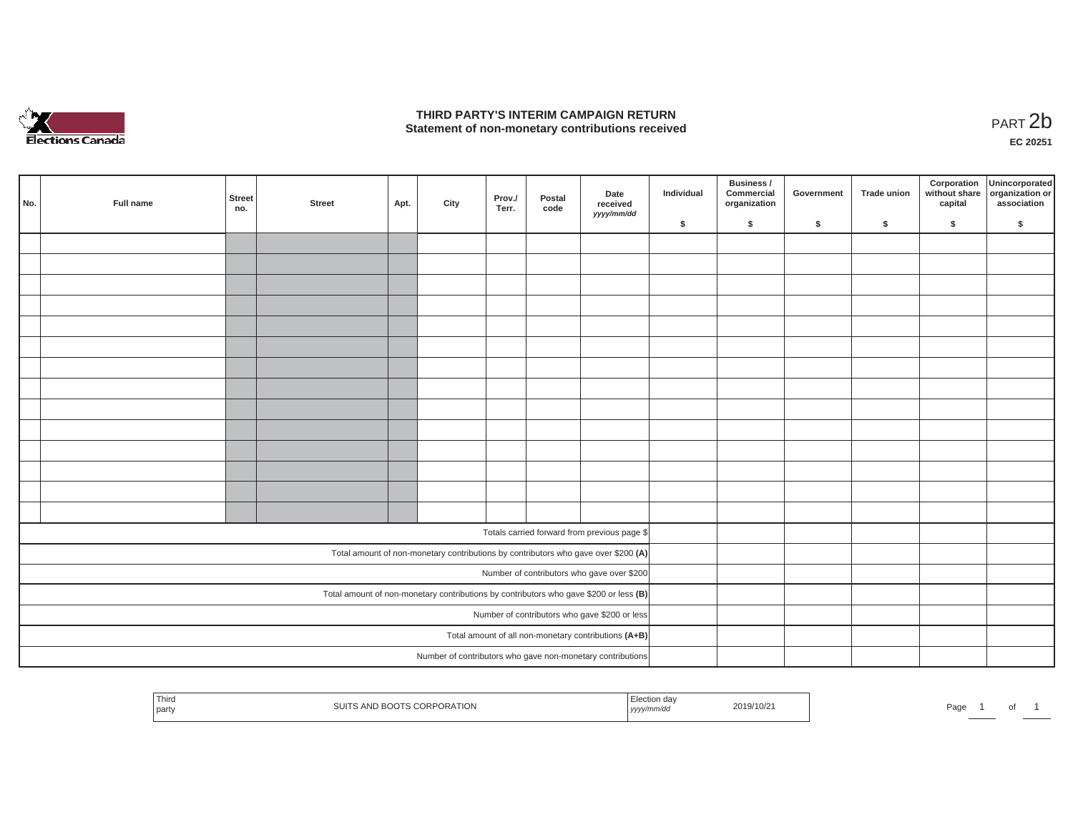

## **THIRD PARTY'S INTERIM CAMPAIGN RETURN STATE OF A STATE STATE STATE OF A STATE OF A STATE STATE STATE STATE STATE STATE STATE STATE STATE STATE STATE**<br>PART 2**b**

**EC 20251**

| No.                                                                                   | Full name | <b>Street</b><br>no. | <b>Street</b> | Apt. | City | Prov./<br>Terr. | Postal<br>code | Date<br>received<br>yyyy/mm/dd                                                     | Individual | Business /<br>Commercial<br>organization | Government | Trade union | Corporation<br>without share<br>capital | Unincorporated<br>organization or<br>association |
|---------------------------------------------------------------------------------------|-----------|----------------------|---------------|------|------|-----------------|----------------|------------------------------------------------------------------------------------|------------|------------------------------------------|------------|-------------|-----------------------------------------|--------------------------------------------------|
|                                                                                       |           |                      |               |      |      |                 |                |                                                                                    | \$         | $\mathsf{s}$                             | \$         | \$          | \$                                      | \$                                               |
|                                                                                       |           |                      |               |      |      |                 |                |                                                                                    |            |                                          |            |             |                                         |                                                  |
|                                                                                       |           |                      |               |      |      |                 |                |                                                                                    |            |                                          |            |             |                                         |                                                  |
|                                                                                       |           |                      |               |      |      |                 |                |                                                                                    |            |                                          |            |             |                                         |                                                  |
|                                                                                       |           |                      |               |      |      |                 |                |                                                                                    |            |                                          |            |             |                                         |                                                  |
|                                                                                       |           |                      |               |      |      |                 |                |                                                                                    |            |                                          |            |             |                                         |                                                  |
|                                                                                       |           |                      |               |      |      |                 |                |                                                                                    |            |                                          |            |             |                                         |                                                  |
|                                                                                       |           |                      |               |      |      |                 |                |                                                                                    |            |                                          |            |             |                                         |                                                  |
|                                                                                       |           |                      |               |      |      |                 |                |                                                                                    |            |                                          |            |             |                                         |                                                  |
|                                                                                       |           |                      |               |      |      |                 |                |                                                                                    |            |                                          |            |             |                                         |                                                  |
|                                                                                       |           |                      |               |      |      |                 |                |                                                                                    |            |                                          |            |             |                                         |                                                  |
|                                                                                       |           |                      |               |      |      |                 |                |                                                                                    |            |                                          |            |             |                                         |                                                  |
|                                                                                       |           |                      |               |      |      |                 |                |                                                                                    |            |                                          |            |             |                                         |                                                  |
|                                                                                       |           |                      |               |      |      |                 |                |                                                                                    |            |                                          |            |             |                                         |                                                  |
|                                                                                       |           |                      |               |      |      |                 |                |                                                                                    |            |                                          |            |             |                                         |                                                  |
|                                                                                       |           |                      |               |      |      |                 |                | Totals carried forward from previous page \$                                       |            |                                          |            |             |                                         |                                                  |
|                                                                                       |           |                      |               |      |      |                 |                | Total amount of non-monetary contributions by contributors who gave over \$200 (A) |            |                                          |            |             |                                         |                                                  |
|                                                                                       |           |                      |               |      |      |                 |                | Number of contributors who gave over \$200                                         |            |                                          |            |             |                                         |                                                  |
| Total amount of non-monetary contributions by contributors who gave \$200 or less (B) |           |                      |               |      |      |                 |                |                                                                                    |            |                                          |            |             |                                         |                                                  |
| Number of contributors who gave \$200 or less                                         |           |                      |               |      |      |                 |                |                                                                                    |            |                                          |            |             |                                         |                                                  |
| Total amount of all non-monetary contributions (A+B)                                  |           |                      |               |      |      |                 |                |                                                                                    |            |                                          |            |             |                                         |                                                  |
|                                                                                       |           |                      |               |      |      |                 |                | Number of contributors who gave non-monetary contributions                         |            |                                          |            |             |                                         |                                                  |

| ' Third<br>รเมา<br>$A\cup I$<br>' part∖ | PORATION<br>, , , ,<br>10.55<br>$\cdots$ | n dav<br>$\sim$ $\sim$ $\sim$<br>nm/do<br>ーリンソン | 2019/10/2 | Page | _____ | ັ |  |
|-----------------------------------------|------------------------------------------|-------------------------------------------------|-----------|------|-------|---|--|
|-----------------------------------------|------------------------------------------|-------------------------------------------------|-----------|------|-------|---|--|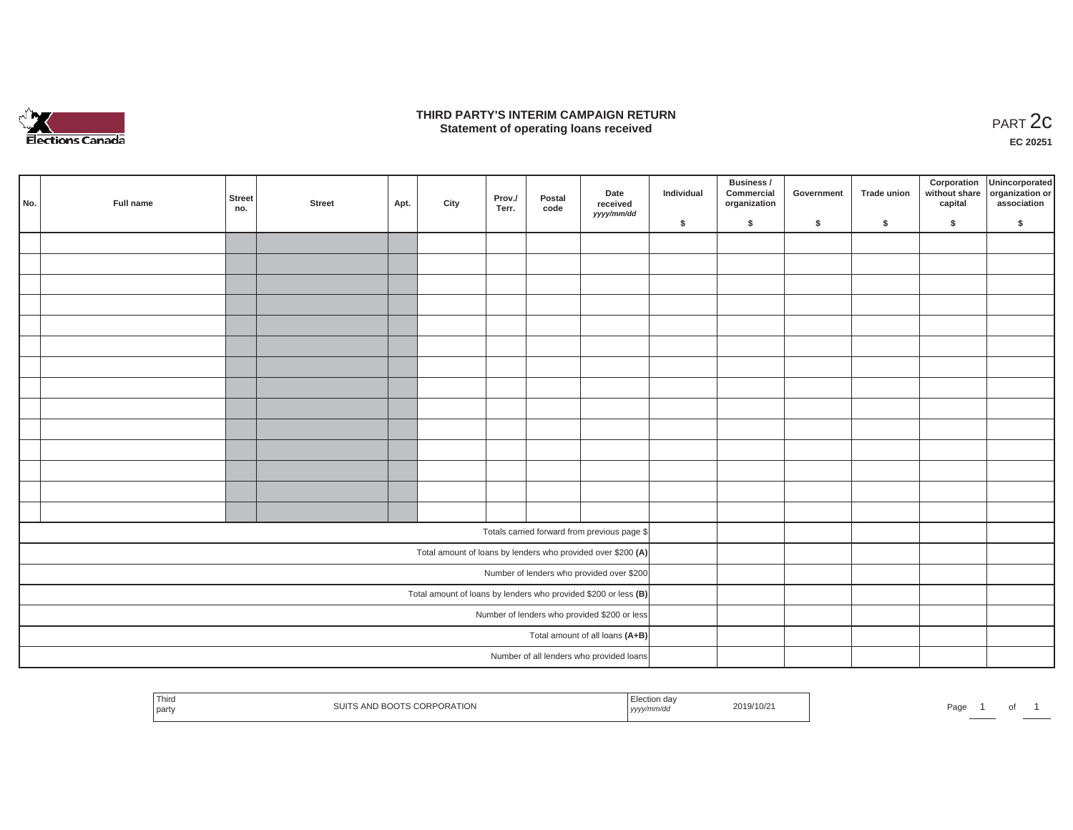

### **THIRD PARTY'S INTERIM CAMPAIGN RETURN**  RD PARTY'S INTERIM CAMPAIGN RETURN<br>Statement of operating loans received **PART 2c**

**EC 20251**

|     |                                              |               |        |      |      |                 |                |                                                                   |            | Business /                 |            |             |         | Corporation Unincorporated<br>without share organization or |
|-----|----------------------------------------------|---------------|--------|------|------|-----------------|----------------|-------------------------------------------------------------------|------------|----------------------------|------------|-------------|---------|-------------------------------------------------------------|
| No. | Full name                                    | Street<br>no. | Street | Apt. | City | Prov./<br>Terr. | Postal<br>code | Date<br>received<br>yyyy/mm/dd                                    | Individual | Commercial<br>organization | Government | Trade union | capital | association                                                 |
|     |                                              |               |        |      |      |                 |                |                                                                   | \$         | $\sqrt{2}$                 | \$         | $\sqrt{2}$  | \$      | \$                                                          |
|     |                                              |               |        |      |      |                 |                |                                                                   |            |                            |            |             |         |                                                             |
|     |                                              |               |        |      |      |                 |                |                                                                   |            |                            |            |             |         |                                                             |
|     |                                              |               |        |      |      |                 |                |                                                                   |            |                            |            |             |         |                                                             |
|     |                                              |               |        |      |      |                 |                |                                                                   |            |                            |            |             |         |                                                             |
|     |                                              |               |        |      |      |                 |                |                                                                   |            |                            |            |             |         |                                                             |
|     |                                              |               |        |      |      |                 |                |                                                                   |            |                            |            |             |         |                                                             |
|     |                                              |               |        |      |      |                 |                |                                                                   |            |                            |            |             |         |                                                             |
|     |                                              |               |        |      |      |                 |                |                                                                   |            |                            |            |             |         |                                                             |
|     |                                              |               |        |      |      |                 |                |                                                                   |            |                            |            |             |         |                                                             |
|     |                                              |               |        |      |      |                 |                |                                                                   |            |                            |            |             |         |                                                             |
|     |                                              |               |        |      |      |                 |                |                                                                   |            |                            |            |             |         |                                                             |
|     |                                              |               |        |      |      |                 |                |                                                                   |            |                            |            |             |         |                                                             |
|     |                                              |               |        |      |      |                 |                |                                                                   |            |                            |            |             |         |                                                             |
|     |                                              |               |        |      |      |                 |                |                                                                   |            |                            |            |             |         |                                                             |
|     |                                              |               |        |      |      |                 |                | Totals carried forward from previous page \$                      |            |                            |            |             |         |                                                             |
|     |                                              |               |        |      |      |                 |                | Total amount of loans by lenders who provided over \$200 (A)      |            |                            |            |             |         |                                                             |
|     |                                              |               |        |      |      |                 |                | Number of lenders who provided over \$200                         |            |                            |            |             |         |                                                             |
|     |                                              |               |        |      |      |                 |                | Total amount of loans by lenders who provided \$200 or less $(B)$ |            |                            |            |             |         |                                                             |
|     | Number of lenders who provided \$200 or less |               |        |      |      |                 |                |                                                                   |            |                            |            |             |         |                                                             |
|     | Total amount of all loans (A+B)              |               |        |      |      |                 |                |                                                                   |            |                            |            |             |         |                                                             |
|     |                                              |               |        |      |      |                 |                | Number of all lenders who provided loans                          |            |                            |            |             |         |                                                             |

| <b>Contract Contract Contract</b><br>⊺ hird<br>2019/10/2<br>Pag<br>URA HUI<br>party<br>, уууу/' |  |
|-------------------------------------------------------------------------------------------------|--|
|-------------------------------------------------------------------------------------------------|--|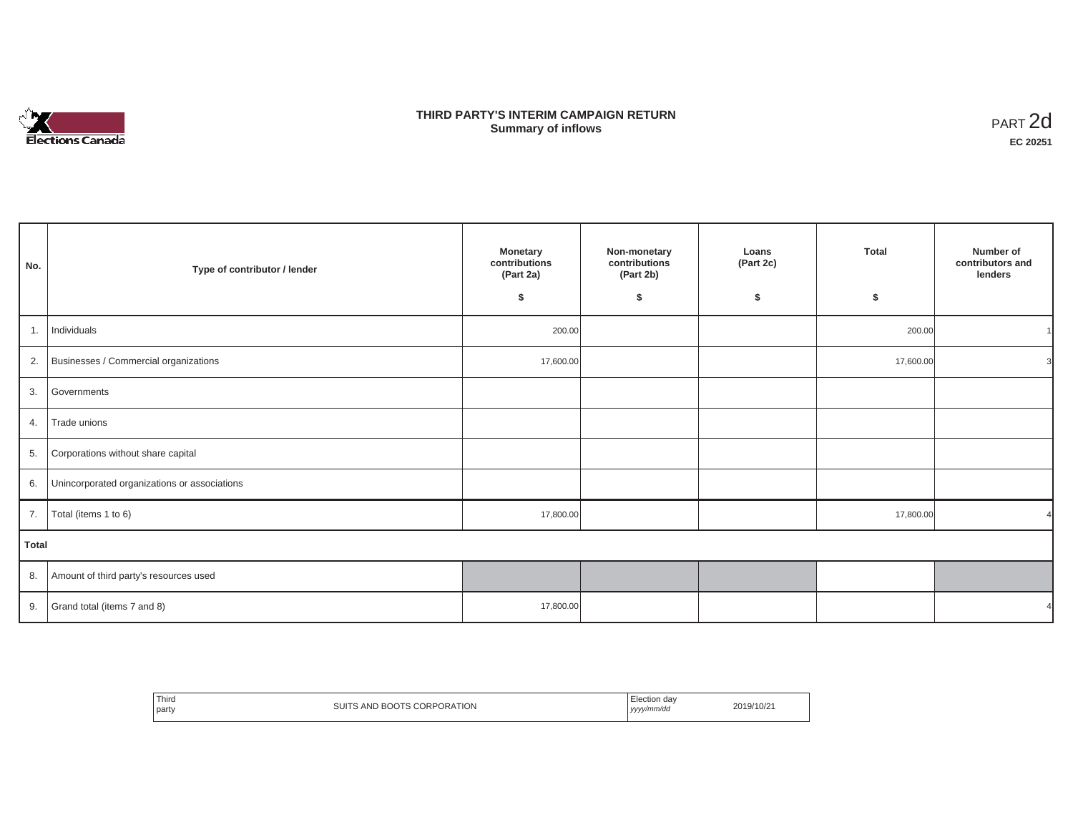

## **THIRD PARTY'S INTERIM CAMPAIGN RETURN SUMMARY STATE SUMMARY OF A SUMMARY OF A SUMMARY OF A SUMMARY OF A SUMMARY OF A SUMMARY OF A SUMMARY OF A SUMMA**<br> **Summary of inflows**

| No.          | Type of contributor / lender                    | Monetary<br>contributions<br>(Part 2a)<br>\$ | Non-monetary<br>contributions<br>(Part 2b)<br>\$ | Loans<br>(Part 2c)<br>\$ | <b>Total</b><br>\$ | Number of<br>contributors and<br>lenders |
|--------------|-------------------------------------------------|----------------------------------------------|--------------------------------------------------|--------------------------|--------------------|------------------------------------------|
| 1.           | Individuals                                     | 200.00                                       |                                                  |                          | 200.00             |                                          |
|              | 2. Businesses / Commercial organizations        | 17,600.00                                    |                                                  |                          | 17,600.00          | 3                                        |
|              | 3. Governments                                  |                                              |                                                  |                          |                    |                                          |
| 4.           | Trade unions                                    |                                              |                                                  |                          |                    |                                          |
| 5.           | Corporations without share capital              |                                              |                                                  |                          |                    |                                          |
|              | 6. Unincorporated organizations or associations |                                              |                                                  |                          |                    |                                          |
| 7.           | Total (items 1 to 6)                            | 17,800.00                                    |                                                  |                          | 17,800.00          |                                          |
| <b>Total</b> |                                                 |                                              |                                                  |                          |                    |                                          |
|              | 8. Amount of third party's resources used       |                                              |                                                  |                          |                    |                                          |
|              | 9. Grand total (items $7$ and $8$ )             | 17,800.00                                    |                                                  |                          |                    |                                          |

| Third<br>party | SUITS AND BOOTS CORPORATION | Election dav<br>yyyy/mm/dd | 2019/10/21 |
|----------------|-----------------------------|----------------------------|------------|
|----------------|-----------------------------|----------------------------|------------|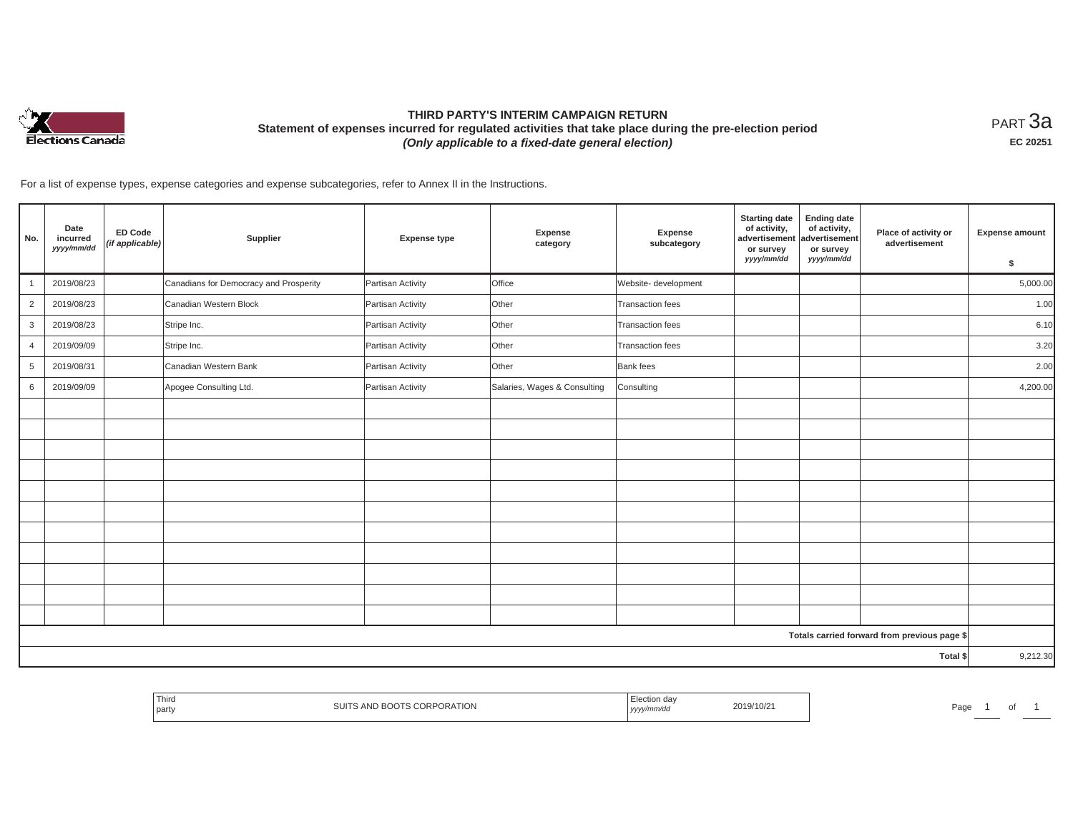

# **THIRD PARTY'S INTERIM CAMPAIGN RETURN Statement of expenses incurred for regulated activities that take place during the pre-election period**  *(Only applicable to a fixed-date general election)*

<code>PART $3$ a</code> **EC 20251**

For a list of expense types, expense categories and expense subcategories, refer to Annex II in the Instructions.

| No.            | Date<br>incurred<br>yyyy/mm/dd | <b>ED Code</b><br>(if applicable) | Supplier                               | <b>Expense type</b> | <b>Expense</b><br>category   | Expense<br>subcategory  | <b>Starting date</b><br>of activity,<br>advertisement<br>or survey<br>yyyy/mm/dd | <b>Ending date</b><br>of activity,<br>advertisement<br>or survey<br>yyyy/mm/dd | Place of activity or<br>advertisement        | <b>Expense amount</b><br>\$ |
|----------------|--------------------------------|-----------------------------------|----------------------------------------|---------------------|------------------------------|-------------------------|----------------------------------------------------------------------------------|--------------------------------------------------------------------------------|----------------------------------------------|-----------------------------|
|                | 2019/08/23                     |                                   | Canadians for Democracy and Prosperity | Partisan Activity   | Office                       | Website- development    |                                                                                  |                                                                                |                                              | 5,000.00                    |
| $\overline{2}$ | 2019/08/23                     |                                   | Canadian Western Block                 | Partisan Activity   | Other                        | <b>Transaction fees</b> |                                                                                  |                                                                                |                                              | 1.00                        |
| 3              | 2019/08/23                     |                                   | Stripe Inc.                            | Partisan Activity   | Other                        | <b>Transaction fees</b> |                                                                                  |                                                                                |                                              | 6.10                        |
| $\overline{4}$ | 2019/09/09                     |                                   | Stripe Inc.                            | Partisan Activity   | Other                        | <b>Transaction fees</b> |                                                                                  |                                                                                |                                              | 3.20                        |
| 5              | 2019/08/31                     |                                   | Canadian Western Bank                  | Partisan Activity   | Other                        | Bank fees               |                                                                                  |                                                                                |                                              | 2.00                        |
| 6              | 2019/09/09                     |                                   | Apogee Consulting Ltd.                 | Partisan Activity   | Salaries, Wages & Consulting | Consulting              |                                                                                  |                                                                                |                                              | 4,200.00                    |
|                |                                |                                   |                                        |                     |                              |                         |                                                                                  |                                                                                |                                              |                             |
|                |                                |                                   |                                        |                     |                              |                         |                                                                                  |                                                                                |                                              |                             |
|                |                                |                                   |                                        |                     |                              |                         |                                                                                  |                                                                                |                                              |                             |
|                |                                |                                   |                                        |                     |                              |                         |                                                                                  |                                                                                |                                              |                             |
|                |                                |                                   |                                        |                     |                              |                         |                                                                                  |                                                                                |                                              |                             |
|                |                                |                                   |                                        |                     |                              |                         |                                                                                  |                                                                                |                                              |                             |
|                |                                |                                   |                                        |                     |                              |                         |                                                                                  |                                                                                |                                              |                             |
|                |                                |                                   |                                        |                     |                              |                         |                                                                                  |                                                                                |                                              |                             |
|                |                                |                                   |                                        |                     |                              |                         |                                                                                  |                                                                                |                                              |                             |
|                |                                |                                   |                                        |                     |                              |                         |                                                                                  |                                                                                |                                              |                             |
|                |                                |                                   |                                        |                     |                              |                         |                                                                                  |                                                                                |                                              |                             |
|                |                                |                                   |                                        |                     |                              |                         |                                                                                  |                                                                                | Totals carried forward from previous page \$ |                             |
|                |                                |                                   |                                        |                     |                              |                         |                                                                                  |                                                                                | Total \$                                     | 9,212.30                    |

|  | Third<br>party | 'ATION | ソソソノ | $2019/10/\sim$ | ∍∼מ<br>-au |  |  |  |
|--|----------------|--------|------|----------------|------------|--|--|--|
|--|----------------|--------|------|----------------|------------|--|--|--|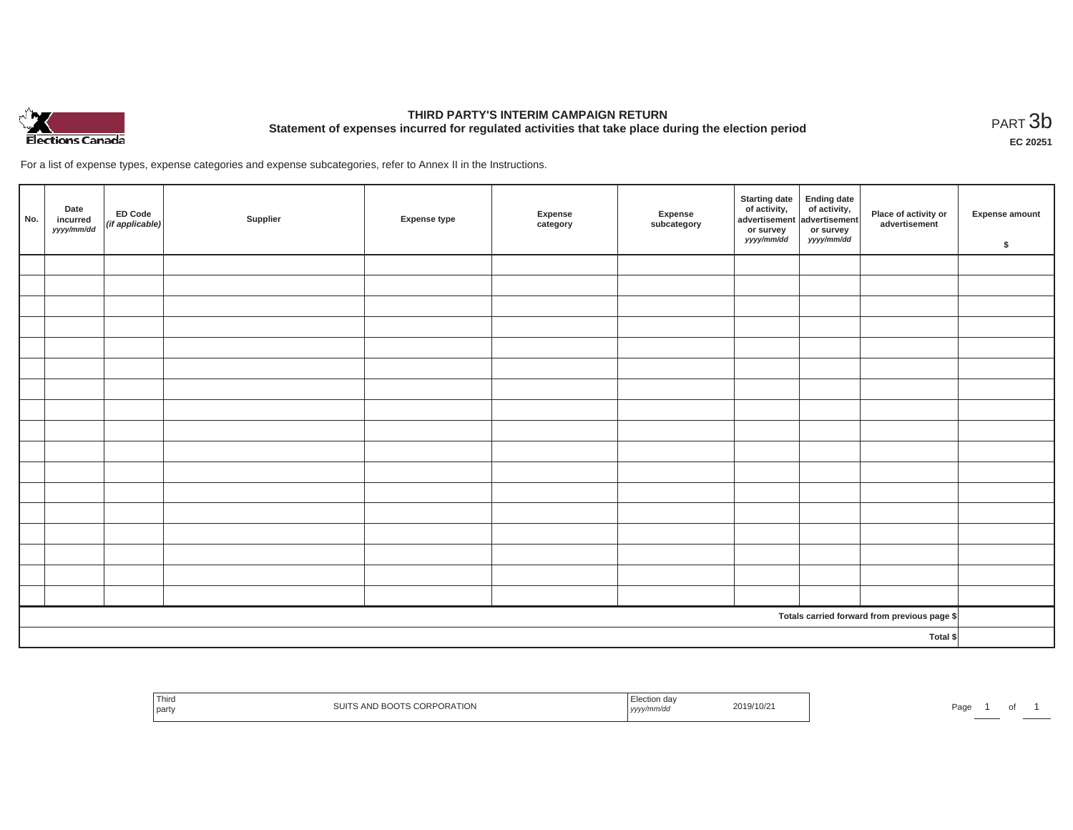

# **THIRD PARTY'S INTERIM CAMPAIGN RETURN Statement of expenses incurred for regulated activities that take place during the election period**<br>PART  $3b$

**EC 20251**

For a list of expense types, expense categories and expense subcategories, refer to Annex II in the Instructions.

| No. | Date<br>incurred<br>yyyy/mm/dd | ED Code<br>$(fi)$ applicable) | Supplier | <b>Expense type</b> | Expense<br>category | Expense<br>subcategory | <b>Starting date</b><br>of activity,<br>advertisement<br>or survey<br><i>yyyy/mm/dd</i> | Ending date<br>of activity,<br>advertisement<br>or survey<br>yyyy/mm/dd | Place of activity or<br>advertisement        | Expense amount<br>\$ |
|-----|--------------------------------|-------------------------------|----------|---------------------|---------------------|------------------------|-----------------------------------------------------------------------------------------|-------------------------------------------------------------------------|----------------------------------------------|----------------------|
|     |                                |                               |          |                     |                     |                        |                                                                                         |                                                                         |                                              |                      |
|     |                                |                               |          |                     |                     |                        |                                                                                         |                                                                         |                                              |                      |
|     |                                |                               |          |                     |                     |                        |                                                                                         |                                                                         |                                              |                      |
|     |                                |                               |          |                     |                     |                        |                                                                                         |                                                                         |                                              |                      |
|     |                                |                               |          |                     |                     |                        |                                                                                         |                                                                         |                                              |                      |
|     |                                |                               |          |                     |                     |                        |                                                                                         |                                                                         |                                              |                      |
|     |                                |                               |          |                     |                     |                        |                                                                                         |                                                                         |                                              |                      |
|     |                                |                               |          |                     |                     |                        |                                                                                         |                                                                         |                                              |                      |
|     |                                |                               |          |                     |                     |                        |                                                                                         |                                                                         |                                              |                      |
|     |                                |                               |          |                     |                     |                        |                                                                                         |                                                                         |                                              |                      |
|     |                                |                               |          |                     |                     |                        |                                                                                         |                                                                         |                                              |                      |
|     |                                |                               |          |                     |                     |                        |                                                                                         |                                                                         |                                              |                      |
|     |                                |                               |          |                     |                     |                        |                                                                                         |                                                                         |                                              |                      |
|     |                                |                               |          |                     |                     |                        |                                                                                         |                                                                         |                                              |                      |
|     |                                |                               |          |                     |                     |                        |                                                                                         |                                                                         |                                              |                      |
|     |                                |                               |          |                     |                     |                        |                                                                                         |                                                                         |                                              |                      |
|     |                                |                               |          |                     |                     |                        |                                                                                         |                                                                         |                                              |                      |
|     |                                |                               |          |                     |                     |                        |                                                                                         |                                                                         | Totals carried forward from previous page \$ |                      |
|     |                                |                               |          |                     |                     |                        |                                                                                         |                                                                         | Total \$                                     |                      |

| Third<br>  party<br>11111 | 9/10/2<br>,,,, | Pag<br>. . |
|---------------------------|----------------|------------|
|---------------------------|----------------|------------|